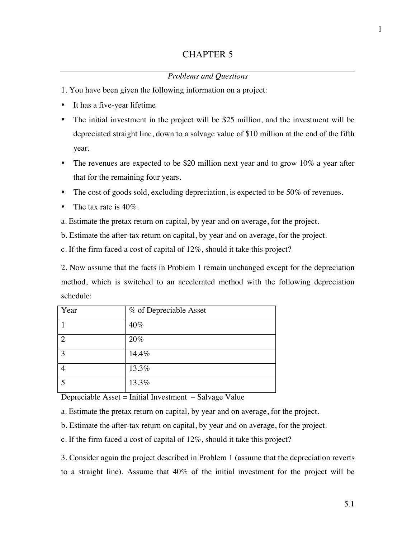## *Problems and Questions*

- 1. You have been given the following information on a project:
- It has a five-year lifetime
- The initial investment in the project will be \$25 million, and the investment will be depreciated straight line, down to a salvage value of \$10 million at the end of the fifth year.
- The revenues are expected to be \$20 million next year and to grow  $10\%$  a year after that for the remaining four years.
- The cost of goods sold, excluding depreciation, is expected to be 50% of revenues.
- The tax rate is  $40\%$ .
- a. Estimate the pretax return on capital, by year and on average, for the project.
- b. Estimate the after-tax return on capital, by year and on average, for the project.
- c. If the firm faced a cost of capital of 12%, should it take this project?

2. Now assume that the facts in Problem 1 remain unchanged except for the depreciation method, which is switched to an accelerated method with the following depreciation schedule:

| Year         | % of Depreciable Asset |
|--------------|------------------------|
|              | 40%                    |
| っ            | 20%                    |
| $\mathbf{R}$ | 14.4%                  |
|              | 13.3%                  |
| ς            | 13.3%                  |

Depreciable Asset = Initial Investment – Salvage Value

- a. Estimate the pretax return on capital, by year and on average, for the project.
- b. Estimate the after-tax return on capital, by year and on average, for the project.
- c. If the firm faced a cost of capital of 12%, should it take this project?

3. Consider again the project described in Problem 1 (assume that the depreciation reverts to a straight line). Assume that 40% of the initial investment for the project will be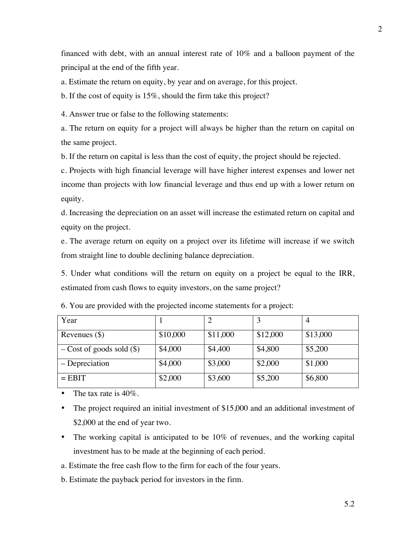financed with debt, with an annual interest rate of 10% and a balloon payment of the principal at the end of the fifth year.

a. Estimate the return on equity, by year and on average, for this project.

b. If the cost of equity is 15%, should the firm take this project?

4. Answer true or false to the following statements:

a. The return on equity for a project will always be higher than the return on capital on the same project.

b. If the return on capital is less than the cost of equity, the project should be rejected.

c. Projects with high financial leverage will have higher interest expenses and lower net income than projects with low financial leverage and thus end up with a lower return on equity.

d. Increasing the depreciation on an asset will increase the estimated return on capital and equity on the project.

e. The average return on equity on a project over its lifetime will increase if we switch from straight line to double declining balance depreciation.

5. Under what conditions will the return on equity on a project be equal to the IRR, estimated from cash flows to equity investors, on the same project?

| Year                         |          |          |          |          |
|------------------------------|----------|----------|----------|----------|
| Revenues $(\$)$              | \$10,000 | \$11,000 | \$12,000 | \$13,000 |
| $-Cost$ of goods sold $(\$)$ | \$4,000  | \$4,400  | \$4,800  | \$5,200  |
| – Depreciation               | \$4,000  | \$3,000  | \$2,000  | \$1,000  |
| $=$ EBIT                     | \$2,000  | \$3,600  | \$5,200  | \$6,800  |

6. You are provided with the projected income statements for a project:

- The tax rate is  $40\%$ .
- The project required an initial investment of \$15,000 and an additional investment of \$2,000 at the end of year two.
- The working capital is anticipated to be 10% of revenues, and the working capital investment has to be made at the beginning of each period.

a. Estimate the free cash flow to the firm for each of the four years.

b. Estimate the payback period for investors in the firm.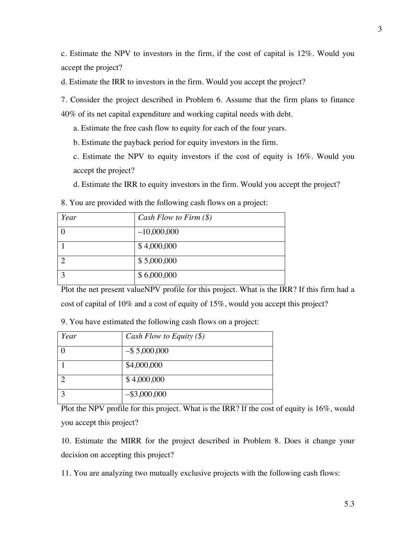c. Estimate the NPV to investors in the firm, if the cost of capital is 12%. Would you accept the project?

d. Estimate the IRR to investors in the firm. Would you accept the project?

7. Consider the project described in Problem 6. Assume that the firm plans to finance 40% of its net capital expenditure and working capital needs with debt.

a. Estimate the free cash flow to equity for each of the four years.

b. Estimate the payback period for equity investors in the firm.

c. Estimate the NPV to equity investors if the cost of equity is 16%. Would you accept the project?

d. Estimate the IRR to equity investors in the firm. Would you accept the project?

8. You are provided with the following cash flows on a project:

| Year | Cash Flow to Firm $(\$)$ |
|------|--------------------------|
|      | $-10,000,000$            |
|      | \$4,000,000              |
|      | \$5,000,000              |
| ◠    | \$6,000,000              |

Plot the net present valueNPV profile for this project. What is the IRR? If this firm had a cost of capital of 10% and a cost of equity of 15%, would you accept this project?

9. You have estimated the following cash flows on a project:

| Year | Cash Flow to Equity $(\$)$ |
|------|----------------------------|
|      | $-$ \$ 5,000,000           |
|      | \$4,000,000                |
|      | \$4,000,000                |
|      | $-$ \$3,000,000            |

Plot the NPV profile for this project. What is the IRR? If the cost of equity is 16%, would you accept this project?

10. Estimate the MIRR for the project described in Problem 8. Does it change your decision on accepting this project?

11. You are analyzing two mutually exclusive projects with the following cash flows: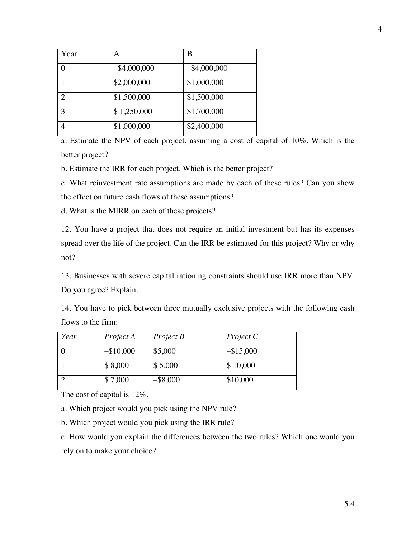| Year           | A               | В               |
|----------------|-----------------|-----------------|
|                | $-$ \$4,000,000 | $-$ \$4,000,000 |
|                | \$2,000,000     | \$1,000,000     |
| $\mathfrak{D}$ | \$1,500,000     | \$1,500,000     |
| 3              | \$1,250,000     | \$1,700,000     |
|                | \$1,000,000     | \$2,400,000     |

a. Estimate the NPV of each project, assuming a cost of capital of 10%. Which is the better project?

b. Estimate the IRR for each project. Which is the better project?

c. What reinvestment rate assumptions are made by each of these rules? Can you show the effect on future cash flows of these assumptions?

d. What is the MIRR on each of these projects?

12. You have a project that does not require an initial investment but has its expenses spread over the life of the project. Can the IRR be estimated for this project? Why or why not?

13. Businesses with severe capital rationing constraints should use IRR more than NPV. Do you agree? Explain.

14. You have to pick between three mutually exclusive projects with the following cash flows to the firm:

| Year | Project A  | Project B   | Project C    |
|------|------------|-------------|--------------|
|      | $-$10,000$ | \$5,000     | $-$ \$15,000 |
|      | \$8,000    | \$5,000     | \$10,000     |
|      | \$7,000    | $-$ \$8,000 | \$10,000     |

The cost of capital is 12%.

a. Which project would you pick using the NPV rule?

b. Which project would you pick using the IRR rule?

c. How would you explain the differences between the two rules? Which one would you rely on to make your choice?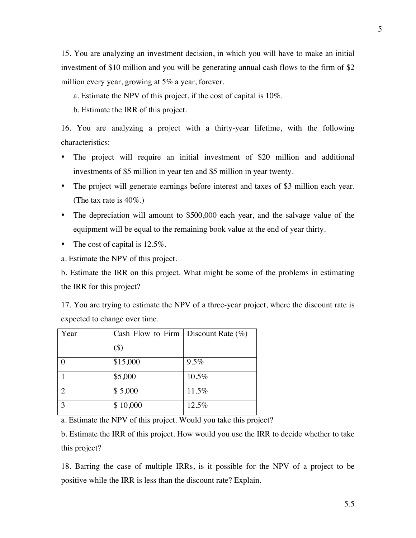15. You are analyzing an investment decision, in which you will have to make an initial investment of \$10 million and you will be generating annual cash flows to the firm of \$2 million every year, growing at 5% a year, forever.

- a. Estimate the NPV of this project, if the cost of capital is 10%.
- b. Estimate the IRR of this project.

16. You are analyzing a project with a thirty-year lifetime, with the following characteristics:

- The project will require an initial investment of \$20 million and additional investments of \$5 million in year ten and \$5 million in year twenty.
- The project will generate earnings before interest and taxes of \$3 million each year. (The tax rate is 40%.)
- The depreciation will amount to \$500,000 each year, and the salvage value of the equipment will be equal to the remaining book value at the end of year thirty.
- The cost of capital is 12.5%.

a. Estimate the NPV of this project.

b. Estimate the IRR on this project. What might be some of the problems in estimating the IRR for this project?

17. You are trying to estimate the NPV of a three-year project, where the discount rate is expected to change over time.

| Year                        | Cash Flow to Firm | Discount Rate $(\%)$ |
|-----------------------------|-------------------|----------------------|
|                             | $(\$)$            |                      |
|                             | \$15,000          | 9.5%                 |
|                             | \$5,000           | 10.5%                |
| $\mathcal{D}_{\mathcal{L}}$ | \$5,000           | 11.5%                |
| 3                           | \$10,000          | 12.5%                |

a. Estimate the NPV of this project. Would you take this project?

b. Estimate the IRR of this project. How would you use the IRR to decide whether to take this project?

18. Barring the case of multiple IRRs, is it possible for the NPV of a project to be positive while the IRR is less than the discount rate? Explain.